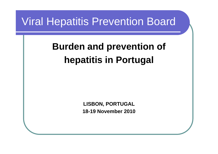### Viral Hepatitis Prevention Board

## **Burden and prevention of hepatitis in Portugal**

**LISBON, PORTUGAL 18-19 November 2010**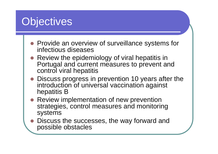## **Objectives**

- Provide an overview of surveillance systems for infectious diseases
- Review the epidemiology of viral hepatitis in Portugal and current measures to prevent and control viral hepatitis
- Discuss progress in prevention 10 years after the introduction of universal vaccination against hepatitis B
- Review implementation of new prevention strategies, control measures and monitoring systems
- **z**  Discuss the successes, the way forward and possible obstacles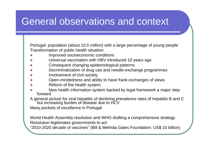#### General observations and context

Portugal: population (about 10.5 million) with a large percentage of young people Transformation of public health situation

- zImproved socioeconomic conditions
- zUniversal vaccination with HBV introduced 10 years ago
- zConsequent changing epidemiological patterns
- zDecriminalization of drug use and needle-exchange programmes
- zInvolvement of civil society
- zOpen-mindedness and ability to have frank exchanges of views
- zReform of the health system
- z New health information system backed by legal framework a major step forward

A general picture for viral hepatitis of declining prevalence rates of hepatitis B and C

but increasing burden of disease due to HCV

Many pockets of excellence in Portugal

World Health Assembly resolution and WHO drafting a comprehensive strategy Resolution legitimates governments to act

"2010-2020 decade of vaccines" (Bill & Melinda Gates Foundation: US\$ 10 billion)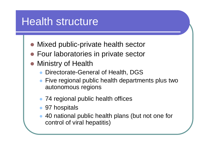## Health structure

- Mixed public-private health sector
- **Four laboratories in private sector**
- Ministry of Health
	- $\bullet$ Directorate-General of Health, DGS
	- Five regional public health departments plus two autonomous regions
	- 74 regional public health offices
	- 97 hospitals
	- $\bullet$  40 national public health plans (but not one for control of viral hepatitis)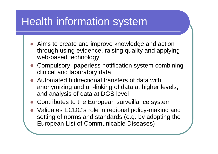## Health information system

- Aims to create and improve knowledge and action through using evidence, raising quality and applying web-based technology
- Compulsory, paperless notification system combining clinical and laboratory data
- $\bullet$  Automated bidirectional transfers of data with anonymizing and un-linking of data at higher levels, and analysis of data at DGS level
- Contributes to the European surveillance system
- z Validates ECDC's role in regional policy-making and setting of norms and standards (e.g. by adopting the European List of Communicable Diseases)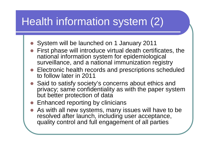# Health information system (2)

- System will be launched on 1 January 2011
- $\bullet$  First phase will introduce virtual death certificates, the national information system for epidemiological surveillance, and a national immunization registry
- Electronic health records and prescriptions scheduled to follow later in 2011
- Said to satisfy society's concerns about ethics and privacy; same confidentiality as with the paper system but better protection of data
- **Enhanced reporting by clinicians**
- z As with all new systems, many issues will have to be resolved after launch, including user acceptance, quality control and full engagement of all parties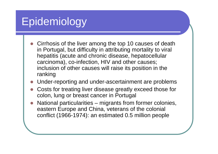# Epidemiology

- z Cirrhosis of the liver among the top 10 causes of death in Portugal, but difficulty in attributing mortality to viral hepatitis (acute and chronic disease, hepatocellular carcinoma), co-infection, HIV and other causes; inclusion of other causes will raise its position in the ranking
- O Under-reporting and under-ascertainment are problems
- z Costs for treating liver disease greatly exceed those for colon, lung or breast cancer in Portugal
- O National particularities – migrants from former colonies, eastern Europe and China, veterans of the colonial conflict (1966-1974): an estimated 0.5 million people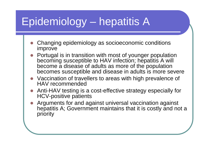# Epidemiology – hepatitis A

- z Changing epidemiology as socioeconomic conditions improve
- z Portugal is in transition with most of younger population becoming susceptible to HAV infection; hepatitis A will become a disease of adults as more of the population becomes susceptible and disease in adults is more severe
- z Vaccination of travellers to areas with high prevalence of HAV recommended
- z Anti-HAV testing is a cost-effective strategy especially for HCV-positive patients
- O Arguments for and against universal vaccination against hepatitis A; Government maintains that it is costly and not a priority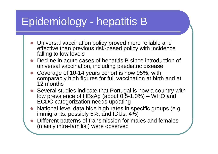# Epidemiology - hepatitis B

- z Universal vaccination policy proved more reliable and effective than previous risk-based policy with incidence falling to low levels
- z Decline in acute cases of hepatitis B since introduction of universal vaccination, including paediatric disease
- z Coverage of 10-14 years cohort is now 95%, with comparably high figures for full vaccination at birth and at 12 months
- z Several studies indicate that Portugal is now a country with low prevalence of HBsAg (about 0.5-1.0%) – WHO and ECDC categorization needs updating
- z National-level data hide high rates in specific groups (e.g. immigrants, possibly 5%, and IDUs, 4%)
- O Different patterns of transmission for males and females (mainly intra-familial) were observed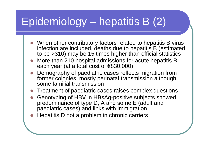# Epidemiology – hepatitis B (2)

- zWhen other contributory factors related to hepatitis B virus infection are included, deaths due to hepatitis B (estimated to be >310) may be 15 times higher than official statistics
- z More than 210 hospital admissions for acute hepatitis B each year (at a total cost of €830,000)
- z Demography of paediatric cases reflects migration from former colonies; mostly perinatal transmission although some familial transmission
- zTreatment of paediatric cases raises complex questions
- z Genotyping of HBV in HBsAg-positive subjects showed predominance of type D, A and some E (adult and paediatric cases) and links with immigration
- O Hepatitis D not a problem in chronic carriers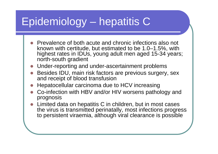# Epidemiology – hepatitis C

- z Prevalence of both acute and chronic infections also not known with certitude, but estimated to be 1.0–1.5%, with highest rates in IDUs, young adult men aged 15-34 years; north-south gradient
- O Under-reporting and under-ascertainment problems
- z Besides IDU, main risk factors are previous surgery, sex and receipt of blood transfusion
- O Hepatocellular carcinoma due to HCV increasing
- z Co-infection with HBV and/or HIV worsens pathology and prognosis
- $\bullet$  Limited data on hepatitis C in children, but in most cases the virus is transmitted perinatally, most infections progress to persistent viraemia, although viral clearance is possible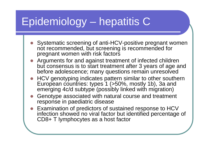# Epidemiology – hepatitis C

- z Systematic screening of anti-HCV-positive pregnant women not recommended, but screening is recommended for pregnant women with risk factors
- Arguments for and against treatment of infected children but consensus is to start treatment after 3 years of age and before adolescence; many questions remain unresolved
- z HCV genotyping indicates pattern similar to other southern European countries: types 1 (>50%, mostly 1b), 3a and emerging 4c/d subtype (possibly linked with migration)
- z Genotype associated with natural course and treatment response in paediatric disease
- Examination of predictors of sustained response to HCV infection showed no viral factor but identified percentage of CD8+ T lymphocytes as a host factor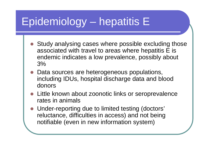# Epidemiology – hepatitis E

- Study analysing cases where possible excluding those associated with travel to areas where hepatitis E is endemic indicates a low prevalence, possibly about 3%
- Data sources are heterogeneous populations, including IDUs, hospital discharge data and blood donors
- Little known about zoonotic links or seroprevalence rates in animals
- Under-reporting due to limited testing (doctors' reluctance, difficulties in access) and not being notifiable (even in new information system)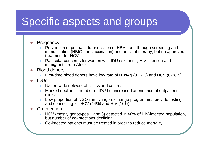## Specific aspects and groups

#### $\bullet$ **Pregnancy**

- $\bullet$  Prevention of perinatal transmission of HBV done through screening and immunization (HBIG and vaccination) and antiviral therapy, but no approved treatment for HCV
- $\bullet$  Particular concerns for women with IDU risk factor, HIV infection and immigrants from Africa
- O Blood donors
	- $\bullet$ First-time blood donors have low rate of HBsAg (0.22%) and HCV (0-28%)
- O IDUs
	- $\bullet$ Nation-wide network of clinics and centres
	- $\bullet$  Marked decline in number of IDU but increased attendance at outpatient clinics
	- $\bullet$  Low proportion of NGO-run syringe-exchange programmes provide testing and counseling for HCV (44%) and HIV (16%)

#### O Co-infection

- $\bullet$  HCV (mostly genotypes 1 and 3) detected in 40% of HIV-infected population, but number of co-infections declining
- $\bullet$ Co-infected patients must be treated in order to reduce mortality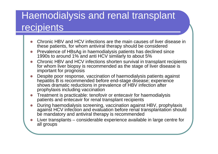#### Haemodialysis and renal transplant recipients

- **z**  Chronic HBV and HCV infections are the main causes of liver disease in these patients, for whom antiviral therapy should be considered
- $\bigcirc$ • Prevalence of HBsAg in haemodialysis patients has declined since 1990s to around 1% and anti HCV similarly to about 5%
- $\bigcirc$  Chronic HBV and HCV infections shorten survival in transplant recipients for whom liver biopsy is recommended as the stage of liver disease is important for prognosis
- **z**  Despite poor response, vaccination of haemodialysis patients against hepatitis B is recommended before end-stage disease; experience shows dramatic reductions in prevalence of HBV infection after prophylaxis including vaccination
- **z**  Treatment is practicable: tenofovir or entecavir for haemodialysis patients and entecavir for renal transplant recipients
- $\bigcirc$  During haemodialysis screening, vaccination against HBV, prophylaxis against HCV infection and evaluation before renal transplantation should be mandatory and antiviral therapy is recommended
- $\bigcirc$  Liver transplants – considerable experience available in large centre for all groups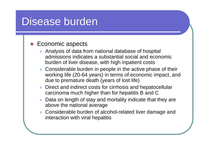### Disease burden

#### $\bullet$ Economic aspects

- $\bullet$  Analysis of data from national database of hospital admissions indicates a substantial social and economic burden of liver disease, with high inpatient costs
- Considerable burden in people in the active phase of their working life (20-64 years) in terms of economic impact, and due to premature death (years of lost life)
- $\bullet$  Direct and indirect costs for cirrhosis and hepatocellular carcinoma much higher than for hepatitis B and C
- $\bullet$  Data on length of stay and mortality indicate that they are above the national average
- Considerable burden of alcohol-related liver damage and interaction with viral hepatitis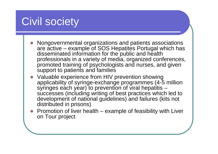## Civil society

- z Nongovernmental organizations and patients associations are active – example of SOS Hepatites Portugal which has disseminated information for the public and health professionals in a variety of media, organized conferences, promoted training of psychologists and nurses, and given support to patients and families
- z Valuable experience from HIV prevention showing applicability of syringe-exchange programmes (4-5 million syringes each year) to prevention of viral hepatitis successes (including writing of best practices which led to development of national guidelines) and failures (kits not distributed in prisons)
- z Promotion of liver health – example of feasibility with Liver on Tour project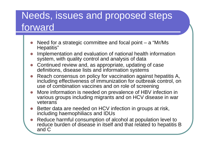#### Needs, issues and proposed steps forward

- **z** Need for a strategic committee and focal point – a "Mr/Ms" Hepatitis"
- **z**  Implementation and evaluation of national health information system, with quality control and analysis of data
- **z**  Continued review and, as appropriate, updating of case definitions, disease lists and information systems
- **z**  Reach consensus on policy for vaccination against hepatitis A, including effectiveness of immunization for outbreak control, on use of combination vaccines and on role of screening
- **z**  More information is needed on prevalence of HBV infection in various groups including migrants and on HCV disease in war veterans
- **z**  Better data are needed on HCV infection in groups at risk, including haemophiliacs and IDUs
- **z**  Reduce harmful consumption of alcohol at population level to reduce burden of disease in itself and that related to hepatitis B and C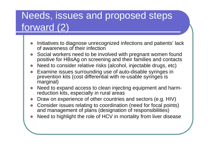### Needs, issues and proposed steps forward (2)

- z Initiatives to diagnose unrecognized infections and patients' lack of awareness of their infection
- O Social workers need to be involved with pregnant women found positive for HBsAg on screening and their families and contacts
- O Need to consider relative risks (alcohol, injectable drugs, etc)
- O Examine issues surrounding use of auto-disable syringes in prevention kits (cost differential with re-usable syringes is marginal)
- z Need to expand access to clean injecting equipment and harmreduction kits, especially in rural areas
- zDraw on experience of other countries and sectors (e.g. HIV)
- z Consider issues relating to coordination (need for focal points) and management of plans (designation of responsibilities)
- O Need to highlight the role of HCV in mortality from liver disease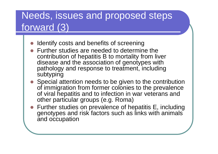### Needs, issues and proposed steps forward (3)

- $\bullet$ Identify costs and benefits of screening
- $\bullet$  Further studies are needed to determine the contribution of hepatitis B to mortality from liver disease and the association of genotypes with pathology and response to treatment, including subtyping
- z Special attention needs to be given to the contribution of immigration from former colonies to the prevalence of viral hepatitis and to infection in war veterans and other particular groups (e.g. Roma)
- Further studies on prevalence of hepatitis E, including genotypes and risk factors such as links with animals and occupation